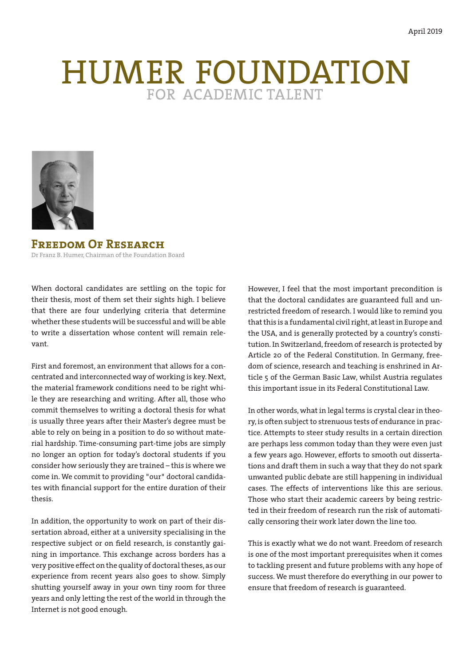# HUMER FOUNDATION



**Freedom Of Research** Dr Franz B. Humer, Chairman of the Foundation Board

When doctoral candidates are settling on the topic for their thesis, most of them set their sights high. I believe that there are four underlying criteria that determine whether these students will be successful and will be able to write a dissertation whose content will remain relevant.

First and foremost, an environment that allows for a concentrated and interconnected way of working is key. Next, the material framework conditions need to be right while they are researching and writing. After all, those who commit themselves to writing a doctoral thesis for what is usually three years after their Master's degree must be able to rely on being in a position to do so without material hardship. Time-consuming part-time jobs are simply no longer an option for today's doctoral students if you consider how seriously they are trained – this is where we come in. We commit to providing "our" doctoral candidates with financial support for the entire duration of their thesis.

In addition, the opportunity to work on part of their dissertation abroad, either at a university specialising in the respective subject or on field research, is constantly gaining in importance. This exchange across borders has a very positive effect on the quality of doctoral theses, as our experience from recent years also goes to show. Simply shutting yourself away in your own tiny room for three years and only letting the rest of the world in through the Internet is not good enough.

However, I feel that the most important precondition is that the doctoral candidates are guaranteed full and unrestricted freedom of research. I would like to remind you that this is a fundamental civil right, at least in Europe and the USA, and is generally protected by a country's constitution. In Switzerland, freedom of research is protected by Article 20 of the Federal Constitution. In Germany, freedom of science, research and teaching is enshrined in Article 5 of the German Basic Law, whilst Austria regulates this important issue in its Federal Constitutional Law.

In other words, what in legal terms is crystal clear in theory, is often subject to strenuous tests of endurance in practice. Attempts to steer study results in a certain direction are perhaps less common today than they were even just a few years ago. However, efforts to smooth out dissertations and draft them in such a way that they do not spark unwanted public debate are still happening in individual cases. The effects of interventions like this are serious. Those who start their academic careers by being restricted in their freedom of research run the risk of automatically censoring their work later down the line too.

This is exactly what we do not want. Freedom of research is one of the most important prerequisites when it comes to tackling present and future problems with any hope of success. We must therefore do everything in our power to ensure that freedom of research is guaranteed.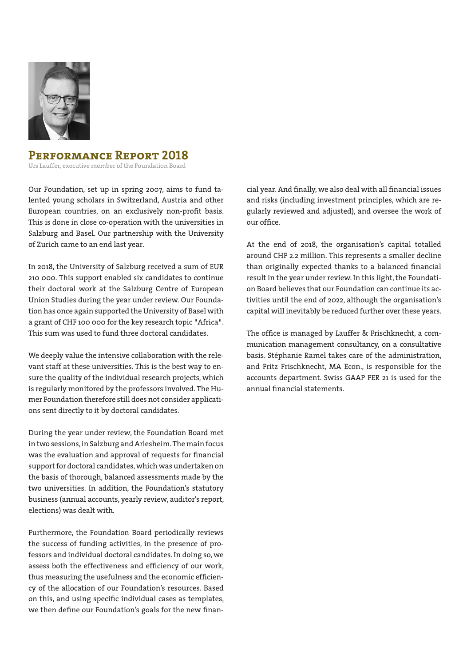

# **Performance Report 2018**

Urs Lauffer, executive member of the Foundation Board

Our Foundation, set up in spring 2007, aims to fund talented young scholars in Switzerland, Austria and other European countries, on an exclusively non-profit basis. This is done in close co-operation with the universities in Salzburg and Basel. Our partnership with the University of Zurich came to an end last year.

In 2018, the University of Salzburg received a sum of EUR 210 000. This support enabled six candidates to continue their doctoral work at the Salzburg Centre of European Union Studies during the year under review. Our Foundation has once again supported the University of Basel with a grant of CHF 100 000 for the key research topic "Africa". This sum was used to fund three doctoral candidates.

We deeply value the intensive collaboration with the relevant staff at these universities. This is the best way to ensure the quality of the individual research projects, which is regularly monitored by the professors involved. The Humer Foundation therefore still does not consider applications sent directly to it by doctoral candidates.

During the year under review, the Foundation Board met in two sessions, in Salzburg and Arlesheim. The main focus was the evaluation and approval of requests for financial support for doctoral candidates, which was undertaken on the basis of thorough, balanced assessments made by the two universities. In addition, the Foundation's statutory business (annual accounts, yearly review, auditor's report, elections) was dealt with.

Furthermore, the Foundation Board periodically reviews the success of funding activities, in the presence of professors and individual doctoral candidates. In doing so, we assess both the effectiveness and efficiency of our work, thus measuring the usefulness and the economic efficiency of the allocation of our Foundation's resources. Based on this, and using specific individual cases as templates, we then define our Foundation's goals for the new financial year. And finally, we also deal with all financial issues and risks (including investment principles, which are regularly reviewed and adjusted), and oversee the work of our office.

At the end of 2018, the organisation's capital totalled around CHF 2.2 million. This represents a smaller decline than originally expected thanks to a balanced financial result in the year under review. In this light, the Foundation Board believes that our Foundation can continue its activities until the end of 2022, although the organisation's capital will inevitably be reduced further over these years.

The office is managed by Lauffer & Frischknecht, a communication management consultancy, on a consultative basis. Stéphanie Ramel takes care of the administration, and Fritz Frischknecht, MA Econ., is responsible for the accounts department. Swiss GAAP FER 21 is used for the annual financial statements.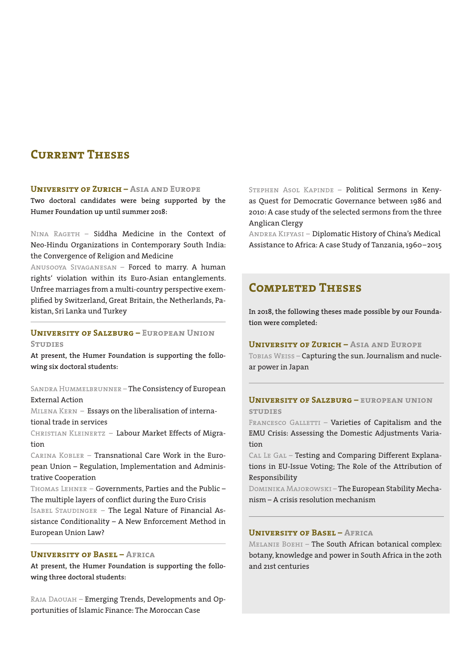# **Current Theses**

#### **University of Zurich – Asia and Europe**

**Two doctoral candidates were being supported by the Humer Foundation up until summer 2018:**

NINA RAGETH - Siddha Medicine in the Context of Neo-Hindu Organizations in Contemporary South India: the Convergence of Religion and Medicine

Anusooya Sivaganesan – Forced to marry. A human rights' violation within its Euro-Asian entanglements. Unfree marriages from a multi-country perspective exemplified by Switzerland, Great Britain, the Netherlands, Pakistan, Sri Lanka und Turkey

## **University of Salzburg – European Union STUDIES**

**At present, the Humer Foundation is supporting the following six doctoral students:**

## Sandra Hummelbrunner – The Consistency of European External Action

Milena Kern – Essays on the liberalisation of international trade in services

Christian Kleinertz – Labour Market Effects of Migration

Carina Kobler – Transnational Care Work in the European Union – Regulation, Implementation and Administrative Cooperation

THOMAS LEHNER - Governments, Parties and the Public -The multiple layers of conflict during the Euro Crisis

Isabel Staudinger – The Legal Nature of Financial Assistance Conditionality – A New Enforcement Method in European Union Law?

### **University of Basel – Africa**

**At present, the Humer Foundation is supporting the following three doctoral students:**

Raja Daouah – Emerging Trends, Developments and Opportunities of Islamic Finance: The Moroccan Case

STEPHEN ASOL KAPINDE - Political Sermons in Kenyas Quest for Democratic Governance between 1986 and 2010: A case study of the selected sermons from the three Anglican Clergy

Andrea Kifyasi – Diplomatic History of China's Medical Assistance to Africa: A case Study of Tanzania, 1960–2015

# **Completed Theses**

**In 2018, the following theses made possible by our Foundation were completed:**

## **University of Zurich – Asia and Europe**

TOBIAS WEISS - Capturing the sun. Journalism and nuclear power in Japan

## **University of Salzburg – european union studies**

FRANCESCO GALLETTI - Varieties of Capitalism and the EMU Crisis: Assessing the Domestic Adjustments Variation

CAL LE GAL - Testing and Comparing Different Explanations in EU-Issue Voting; The Role of the Attribution of Responsibility

Dominika Majorowski – The European Stability Mechanism – A crisis resolution mechanism

#### **University of Basel – Africa**

Melanie Boehi – The South African botanical complex: botany, knowledge and power in South Africa in the 20th and 21st centuries